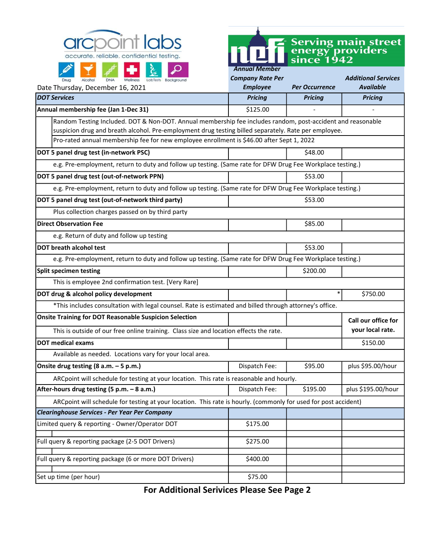



| Alcohol<br><b>DNA</b><br>LabTests Background<br>Drug<br><b>Wellness</b>                                         | <b>Company Rate Per</b> |                       | <b>Additional Services</b> |  |
|-----------------------------------------------------------------------------------------------------------------|-------------------------|-----------------------|----------------------------|--|
| Date Thursday, December 16, 2021                                                                                | <b>Employee</b>         | <b>Per Occurrence</b> | <b>Available</b>           |  |
| <b>DOT Services</b>                                                                                             | <b>Pricing</b>          | <b>Pricing</b>        | <b>Pricing</b>             |  |
| Annual membership fee (Jan 1-Dec 31)                                                                            | \$125.00                |                       |                            |  |
| Random Testing Included. DOT & Non-DOT. Annual membership fee includes random, post-accident and reasonable     |                         |                       |                            |  |
| suspicion drug and breath alcohol. Pre-employment drug testing billed separately. Rate per employee.            |                         |                       |                            |  |
| Pro-rated annual membership fee for new employee enrollment is \$46.00 after Sept 1, 2022                       |                         |                       |                            |  |
| DOT 5 panel drug test (in-network PSC)                                                                          |                         | \$48.00               |                            |  |
| e.g. Pre-employment, return to duty and follow up testing. (Same rate for DFW Drug Fee Workplace testing.)      |                         |                       |                            |  |
| DOT 5 panel drug test (out-of-network PPN)                                                                      |                         | \$53.00               |                            |  |
| e.g. Pre-employment, return to duty and follow up testing. (Same rate for DFW Drug Fee Workplace testing.)      |                         |                       |                            |  |
| DOT 5 panel drug test (out-of-network third party)                                                              |                         | \$53.00               |                            |  |
| Plus collection charges passed on by third party                                                                |                         |                       |                            |  |
| <b>Direct Observation Fee</b>                                                                                   |                         | \$85.00               |                            |  |
| e.g. Return of duty and follow up testing                                                                       |                         |                       |                            |  |
| <b>DOT breath alcohol test</b>                                                                                  |                         | \$53.00               |                            |  |
| e.g. Pre-employment, return to duty and follow up testing. (Same rate for DFW Drug Fee Workplace testing.)      |                         |                       |                            |  |
| <b>Split specimen testing</b>                                                                                   |                         | \$200.00              |                            |  |
| This is employee 2nd confirmation test. [Very Rare]                                                             |                         |                       |                            |  |
| DOT drug & alcohol policy development                                                                           |                         | $\ast$                | \$750.00                   |  |
| *This includes consultation with legal counsel. Rate is estimated and billed through attorney's office.         |                         |                       |                            |  |
| <b>Onsite Training for DOT Reasonable Suspicion Selection</b>                                                   |                         |                       | Call our office for        |  |
| This is outside of our free online training. Class size and location effects the rate.                          | your local rate.        |                       |                            |  |
| <b>DOT medical exams</b>                                                                                        |                         |                       | \$150.00                   |  |
| Available as needed. Locations vary for your local area.                                                        |                         |                       |                            |  |
| Onsite drug testing (8 a.m. - 5 p.m.)                                                                           | Dispatch Fee:           | \$95.00               | plus \$95.00/hour          |  |
| ARCpoint will schedule for testing at your location. This rate is reasonable and hourly.                        |                         |                       |                            |  |
| After-hours drug testing (5 p.m. - 8 a.m.)                                                                      | Dispatch Fee:           | \$195.00              | plus \$195.00/hour         |  |
| ARCpoint will schedule for testing at your location. This rate is hourly. (commonly for used for post accident) |                         |                       |                            |  |
| <b>Clearinghouse Services - Per Year Per Company</b>                                                            |                         |                       |                            |  |
| Limited query & reporting - Owner/Operator DOT                                                                  | \$175.00                |                       |                            |  |
|                                                                                                                 |                         |                       |                            |  |
| Full query & reporting package (2-5 DOT Drivers)                                                                | \$275.00                |                       |                            |  |
| Full query & reporting package (6 or more DOT Drivers)                                                          | \$400.00                |                       |                            |  |
| Set up time (per hour)                                                                                          | \$75.00                 |                       |                            |  |

For Additional Serivices Please See Page 2